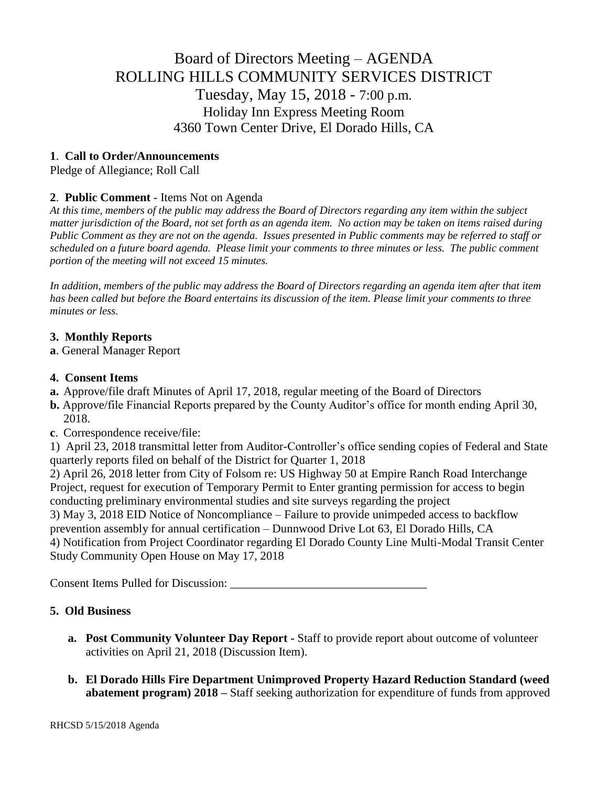# Board of Directors Meeting – AGENDA ROLLING HILLS COMMUNITY SERVICES DISTRICT Tuesday, May 15, 2018 - 7:00 p.m. Holiday Inn Express Meeting Room 4360 Town Center Drive, El Dorado Hills, CA

## **1**. **Call to Order/Announcements**

Pledge of Allegiance; Roll Call

## **2**. **Public Comment** - Items Not on Agenda

*At this time, members of the public may address the Board of Directors regarding any item within the subject matter jurisdiction of the Board, not set forth as an agenda item. No action may be taken on items raised during Public Comment as they are not on the agenda. Issues presented in Public comments may be referred to staff or scheduled on a future board agenda. Please limit your comments to three minutes or less. The public comment portion of the meeting will not exceed 15 minutes.*

*In addition, members of the public may address the Board of Directors regarding an agenda item after that item has been called but before the Board entertains its discussion of the item. Please limit your comments to three minutes or less.*

## **3. Monthly Reports**

**a**. General Manager Report

#### **4. Consent Items**

- **a.** Approve/file draft Minutes of April 17, 2018, regular meeting of the Board of Directors
- **b.** Approve/file Financial Reports prepared by the County Auditor's office for month ending April 30, 2018.
- **c**. Correspondence receive/file:

1) April 23, 2018 transmittal letter from Auditor-Controller's office sending copies of Federal and State quarterly reports filed on behalf of the District for Quarter 1, 2018

2) April 26, 2018 letter from City of Folsom re: US Highway 50 at Empire Ranch Road Interchange Project, request for execution of Temporary Permit to Enter granting permission for access to begin conducting preliminary environmental studies and site surveys regarding the project

3) May 3, 2018 EID Notice of Noncompliance – Failure to provide unimpeded access to backflow prevention assembly for annual certification – Dunnwood Drive Lot 63, El Dorado Hills, CA 4) Notification from Project Coordinator regarding El Dorado County Line Multi-Modal Transit Center Study Community Open House on May 17, 2018

Consent Items Pulled for Discussion: \_\_\_\_\_\_\_\_\_\_\_\_\_\_\_\_\_\_\_\_\_\_\_\_\_\_\_\_\_\_\_\_\_

# **5. Old Business**

- **a. Post Community Volunteer Day Report -** Staff to provide report about outcome of volunteer activities on April 21, 2018 (Discussion Item).
- **b. El Dorado Hills Fire Department Unimproved Property Hazard Reduction Standard (weed abatement program) 2018 –** Staff seeking authorization for expenditure of funds from approved